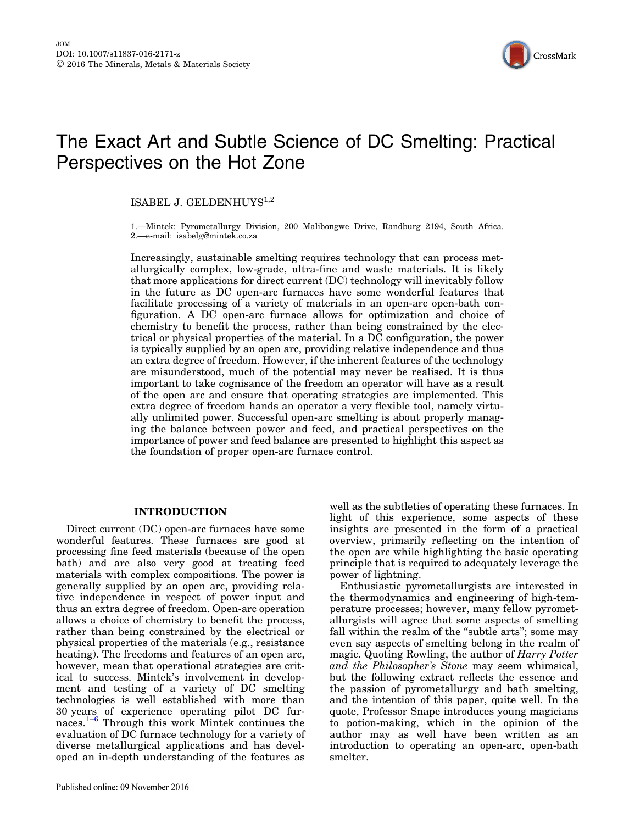

# The Exact Art and Subtle Science of DC Smelting: Practical Perspectives on the Hot Zone

## ISABEL J. GELDENHUYS $^{1,2}$

1.—Mintek: Pyrometallurgy Division, 200 Malibongwe Drive, Randburg 2194, South Africa. 2.—e-mail: isabelg@mintek.co.za

Increasingly, sustainable smelting requires technology that can process metallurgically complex, low-grade, ultra-fine and waste materials. It is likely that more applications for direct current (DC) technology will inevitably follow in the future as DC open-arc furnaces have some wonderful features that facilitate processing of a variety of materials in an open-arc open-bath configuration. A DC open-arc furnace allows for optimization and choice of chemistry to benefit the process, rather than being constrained by the electrical or physical properties of the material. In a DC configuration, the power is typically supplied by an open arc, providing relative independence and thus an extra degree of freedom. However, if the inherent features of the technology are misunderstood, much of the potential may never be realised. It is thus important to take cognisance of the freedom an operator will have as a result of the open arc and ensure that operating strategies are implemented. This extra degree of freedom hands an operator a very flexible tool, namely virtually unlimited power. Successful open-arc smelting is about properly managing the balance between power and feed, and practical perspectives on the importance of power and feed balance are presented to highlight this aspect as the foundation of proper open-arc furnace control.

## INTRODUCTION

Direct current (DC) open-arc furnaces have some wonderful features. These furnaces are good at processing fine feed materials (because of the open bath) and are also very good at treating feed materials with complex compositions. The power is generally supplied by an open arc, providing relative independence in respect of power input and thus an extra degree of freedom. Open-arc operation allows a choice of chemistry to benefit the process, rather than being constrained by the electrical or physical properties of the materials (e.g., resistance heating). The freedoms and features of an open arc, however, mean that operational strategies are critical to success. Mintek's involvement in development and testing of a variety of DC smelting technologies is well established with more than 30 years of experience operating pilot DC furnaces.[1](#page-7-0)–[6](#page-7-0) Through this work Mintek continues the evaluation of  $D\tilde{C}$  furnace technology for a variety of diverse metallurgical applications and has developed an in-depth understanding of the features as well as the subtleties of operating these furnaces. In light of this experience, some aspects of these insights are presented in the form of a practical overview, primarily reflecting on the intention of the open arc while highlighting the basic operating principle that is required to adequately leverage the power of lightning.

Enthusiastic pyrometallurgists are interested in the thermodynamics and engineering of high-temperature processes; however, many fellow pyrometallurgists will agree that some aspects of smelting fall within the realm of the "subtle arts"; some may even say aspects of smelting belong in the realm of magic. Quoting Rowling, the author of Harry Potter and the Philosopher's Stone may seem whimsical, but the following extract reflects the essence and the passion of pyrometallurgy and bath smelting, and the intention of this paper, quite well. In the quote, Professor Snape introduces young magicians to potion-making, which in the opinion of the author may as well have been written as an introduction to operating an open-arc, open-bath smelter.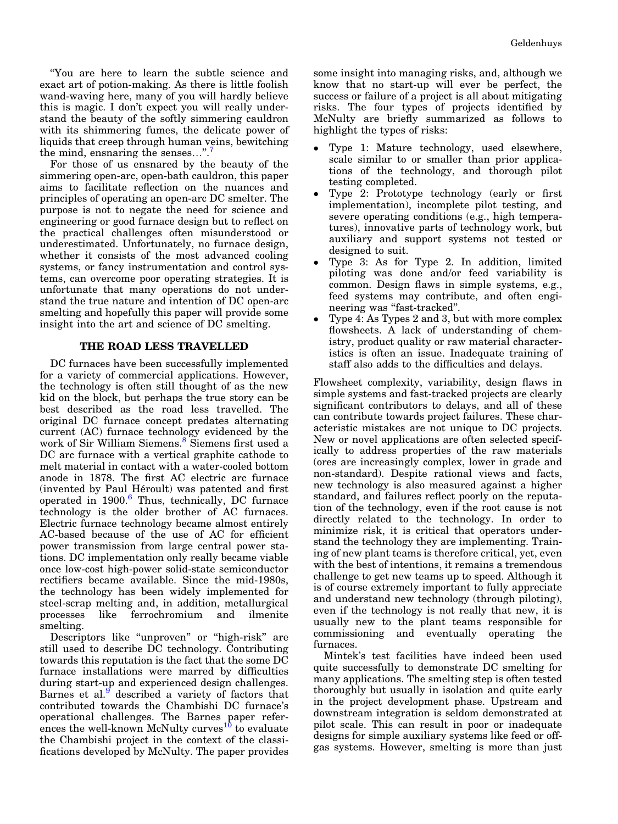''You are here to learn the subtle science and exact art of potion-making. As there is little foolish wand-waving here, many of you will hardly believe this is magic. I don't expect you will really understand the beauty of the softly simmering cauldron with its shimmering fumes, the delicate power of liquids that creep through human veins, bewitching the mind, ensnaring the senses...".

For those of us ensnared by the beauty of the simmering open-arc, open-bath cauldron, this paper aims to facilitate reflection on the nuances and principles of operating an open-arc DC smelter. The purpose is not to negate the need for science and engineering or good furnace design but to reflect on the practical challenges often misunderstood or underestimated. Unfortunately, no furnace design, whether it consists of the most advanced cooling systems, or fancy instrumentation and control systems, can overcome poor operating strategies. It is unfortunate that many operations do not understand the true nature and intention of DC open-arc smelting and hopefully this paper will provide some insight into the art and science of DC smelting.

## THE ROAD LESS TRAVELLED

DC furnaces have been successfully implemented for a variety of commercial applications. However, the technology is often still thought of as the new kid on the block, but perhaps the true story can be best described as the road less travelled. The original DC furnace concept predates alternating current (AC) furnace technology evidenced by the work of Sir William Siemens.<sup>8</sup> Siemens first used a DC arc furnace with a vertical graphite cathode to melt material in contact with a water-cooled bottom anode in 1878. The first AC electric arc furnace (invented by Paul Héroult) was patented and first operated in  $1900.6$  $1900.6$  Thus, technically, DC furnace technology is the older brother of AC furnaces. Electric furnace technology became almost entirely AC-based because of the use of AC for efficient power transmission from large central power stations. DC implementation only really became viable once low-cost high-power solid-state semiconductor rectifiers became available. Since the mid-1980s, the technology has been widely implemented for steel-scrap melting and, in addition, metallurgical processes like ferrochromium and ilmenite smelting.

Descriptors like "unproven" or "high-risk" are still used to describe DC technology. Contributing towards this reputation is the fact that the some DC furnace installations were marred by difficulties during start-up and experienced design challenges. Barnes et al.<sup>[9](#page-7-0)</sup> described a variety of factors that contributed towards the Chambishi DC furnace's operational challenges. The Barnes paper refer- $\frac{10}{10}$  $\frac{10}{10}$  $\frac{10}{10}$  ences the well-known McNulty curves<sup>10</sup> to evaluate the Chambishi project in the context of the classifications developed by McNulty. The paper provides

some insight into managing risks, and, although we know that no start-up will ever be perfect, the success or failure of a project is all about mitigating risks. The four types of projects identified by McNulty are briefly summarized as follows to highlight the types of risks:

- $\bullet$  Type 1: Mature technology, used elsewhere, scale similar to or smaller than prior applications of the technology, and thorough pilot testing completed.
- $\bullet$  Type 2: Prototype technology (early or first implementation), incomplete pilot testing, and severe operating conditions (e.g., high temperatures), innovative parts of technology work, but auxiliary and support systems not tested or designed to suit.
- $\bullet$  Type 3: As for Type 2. In addition, limited piloting was done and/or feed variability is common. Design flaws in simple systems, e.g., feed systems may contribute, and often engineering was "fast-tracked".
- $\bullet$  Type 4: As Types 2 and 3, but with more complex flowsheets. A lack of understanding of chemistry, product quality or raw material characteristics is often an issue. Inadequate training of staff also adds to the difficulties and delays.

Flowsheet complexity, variability, design flaws in simple systems and fast-tracked projects are clearly significant contributors to delays, and all of these can contribute towards project failures. These characteristic mistakes are not unique to DC projects. New or novel applications are often selected specifically to address properties of the raw materials (ores are increasingly complex, lower in grade and non-standard). Despite rational views and facts, new technology is also measured against a higher standard, and failures reflect poorly on the reputation of the technology, even if the root cause is not directly related to the technology. In order to minimize risk, it is critical that operators understand the technology they are implementing. Training of new plant teams is therefore critical, yet, even with the best of intentions, it remains a tremendous challenge to get new teams up to speed. Although it is of course extremely important to fully appreciate and understand new technology (through piloting), even if the technology is not really that new, it is usually new to the plant teams responsible for commissioning and eventually operating the furnaces.

Mintek's test facilities have indeed been used quite successfully to demonstrate DC smelting for many applications. The smelting step is often tested thoroughly but usually in isolation and quite early in the project development phase. Upstream and downstream integration is seldom demonstrated at pilot scale. This can result in poor or inadequate designs for simple auxiliary systems like feed or offgas systems. However, smelting is more than just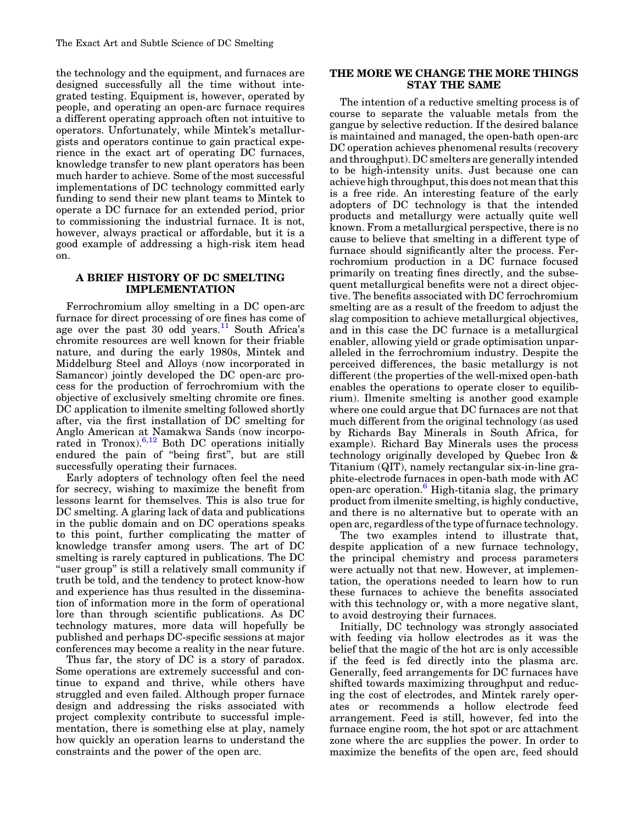the technology and the equipment, and furnaces are designed successfully all the time without integrated testing. Equipment is, however, operated by people, and operating an open-arc furnace requires a different operating approach often not intuitive to operators. Unfortunately, while Mintek's metallurgists and operators continue to gain practical experience in the exact art of operating DC furnaces, knowledge transfer to new plant operators has been much harder to achieve. Some of the most successful implementations of DC technology committed early funding to send their new plant teams to Mintek to operate a DC furnace for an extended period, prior to commissioning the industrial furnace. It is not, however, always practical or affordable, but it is a good example of addressing a high-risk item head on.

## A BRIEF HISTORY OF DC SMELTING IMPLEMENTATION

Ferrochromium alloy smelting in a DC open-arc furnace for direct processing of ore fines has come of age over the past 30 odd years.<sup>[11](#page-7-0)</sup> South Africa's chromite resources are well known for their friable nature, and during the early 1980s, Mintek and Middelburg Steel and Alloys (now incorporated in Samancor) jointly developed the DC open-arc process for the production of ferrochromium with the objective of exclusively smelting chromite ore fines. DC application to ilmenite smelting followed shortly after, via the first installation of DC smelting for Anglo American at Namakwa Sands (now incorporated in Tronox).  $6,12$  Both DC operations initially endured the pain of ''being first'', but are still successfully operating their furnaces.

Early adopters of technology often feel the need for secrecy, wishing to maximize the benefit from lessons learnt for themselves. This is also true for DC smelting. A glaring lack of data and publications in the public domain and on DC operations speaks to this point, further complicating the matter of knowledge transfer among users. The art of DC smelting is rarely captured in publications. The DC "user group" is still a relatively small community if truth be told, and the tendency to protect know-how and experience has thus resulted in the dissemination of information more in the form of operational lore than through scientific publications. As DC technology matures, more data will hopefully be published and perhaps DC-specific sessions at major conferences may become a reality in the near future.

Thus far, the story of DC is a story of paradox. Some operations are extremely successful and continue to expand and thrive, while others have struggled and even failed. Although proper furnace design and addressing the risks associated with project complexity contribute to successful implementation, there is something else at play, namely how quickly an operation learns to understand the constraints and the power of the open arc.

## THE MORE WE CHANGE THE MORE THINGS STAY THE SAME

The intention of a reductive smelting process is of course to separate the valuable metals from the gangue by selective reduction. If the desired balance is maintained and managed, the open-bath open-arc DC operation achieves phenomenal results (recovery and throughput). DC smelters are generally intended to be high-intensity units. Just because one can achieve high throughput, this does not mean that this is a free ride. An interesting feature of the early adopters of DC technology is that the intended products and metallurgy were actually quite well known. From a metallurgical perspective, there is no cause to believe that smelting in a different type of furnace should significantly alter the process. Ferrochromium production in a DC furnace focused primarily on treating fines directly, and the subsequent metallurgical benefits were not a direct objective. The benefits associated with DC ferrochromium smelting are as a result of the freedom to adjust the slag composition to achieve metallurgical objectives, and in this case the DC furnace is a metallurgical enabler, allowing yield or grade optimisation unparalleled in the ferrochromium industry. Despite the perceived differences, the basic metallurgy is not different (the properties of the well-mixed open-bath enables the operations to operate closer to equilibrium). Ilmenite smelting is another good example where one could argue that DC furnaces are not that much different from the original technology (as used by Richards Bay Minerals in South Africa, for example). Richard Bay Minerals uses the process technology originally developed by Quebec Iron & Titanium (QIT), namely rectangular six-in-line graphite-electrode furnaces in open-bath mode with AC open-arc operation.<sup>[6](#page-7-0)</sup> High-titania slag, the primary product from ilmenite smelting, is highly conductive, and there is no alternative but to operate with an open arc, regardless of the type of furnace technology.

The two examples intend to illustrate that, despite application of a new furnace technology, the principal chemistry and process parameters were actually not that new. However, at implementation, the operations needed to learn how to run these furnaces to achieve the benefits associated with this technology or, with a more negative slant, to avoid destroying their furnaces.

Initially, DC technology was strongly associated with feeding via hollow electrodes as it was the belief that the magic of the hot arc is only accessible if the feed is fed directly into the plasma arc. Generally, feed arrangements for DC furnaces have shifted towards maximizing throughput and reducing the cost of electrodes, and Mintek rarely operates or recommends a hollow electrode feed arrangement. Feed is still, however, fed into the furnace engine room, the hot spot or arc attachment zone where the arc supplies the power. In order to maximize the benefits of the open arc, feed should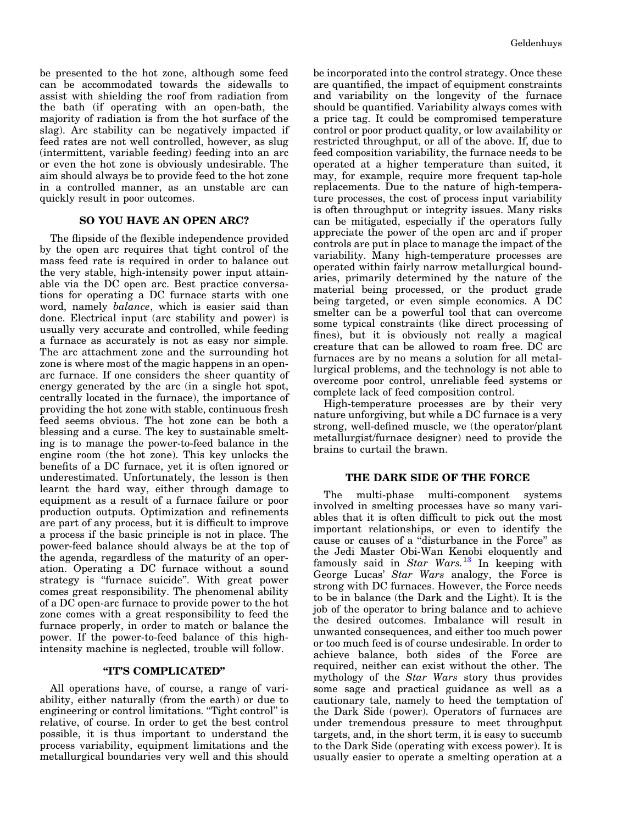be presented to the hot zone, although some feed can be accommodated towards the sidewalls to assist with shielding the roof from radiation from the bath (if operating with an open-bath, the majority of radiation is from the hot surface of the slag). Arc stability can be negatively impacted if feed rates are not well controlled, however, as slug (intermittent, variable feeding) feeding into an arc or even the hot zone is obviously undesirable. The aim should always be to provide feed to the hot zone in a controlled manner, as an unstable arc can quickly result in poor outcomes.

## SO YOU HAVE AN OPEN ARC?

The flipside of the flexible independence provided by the open arc requires that tight control of the mass feed rate is required in order to balance out the very stable, high-intensity power input attainable via the DC open arc. Best practice conversations for operating a DC furnace starts with one word, namely balance, which is easier said than done. Electrical input (arc stability and power) is usually very accurate and controlled, while feeding a furnace as accurately is not as easy nor simple. The arc attachment zone and the surrounding hot zone is where most of the magic happens in an openarc furnace. If one considers the sheer quantity of energy generated by the arc (in a single hot spot, centrally located in the furnace), the importance of providing the hot zone with stable, continuous fresh feed seems obvious. The hot zone can be both a blessing and a curse. The key to sustainable smelting is to manage the power-to-feed balance in the engine room (the hot zone). This key unlocks the benefits of a DC furnace, yet it is often ignored or underestimated. Unfortunately, the lesson is then learnt the hard way, either through damage to equipment as a result of a furnace failure or poor production outputs. Optimization and refinements are part of any process, but it is difficult to improve a process if the basic principle is not in place. The power-feed balance should always be at the top of the agenda, regardless of the maturity of an operation. Operating a DC furnace without a sound strategy is "furnace suicide". With great power comes great responsibility. The phenomenal ability of a DC open-arc furnace to provide power to the hot zone comes with a great responsibility to feed the furnace properly, in order to match or balance the power. If the power-to-feed balance of this highintensity machine is neglected, trouble will follow.

## ''IT'S COMPLICATED''

All operations have, of course, a range of variability, either naturally (from the earth) or due to engineering or control limitations. "Tight control" is relative, of course. In order to get the best control possible, it is thus important to understand the process variability, equipment limitations and the metallurgical boundaries very well and this should be incorporated into the control strategy. Once these are quantified, the impact of equipment constraints and variability on the longevity of the furnace should be quantified. Variability always comes with a price tag. It could be compromised temperature control or poor product quality, or low availability or restricted throughput, or all of the above. If, due to feed composition variability, the furnace needs to be operated at a higher temperature than suited, it may, for example, require more frequent tap-hole replacements. Due to the nature of high-temperature processes, the cost of process input variability is often throughput or integrity issues. Many risks can be mitigated, especially if the operators fully appreciate the power of the open arc and if proper controls are put in place to manage the impact of the variability. Many high-temperature processes are operated within fairly narrow metallurgical boundaries, primarily determined by the nature of the material being processed, or the product grade being targeted, or even simple economics. A DC smelter can be a powerful tool that can overcome some typical constraints (like direct processing of fines), but it is obviously not really a magical creature that can be allowed to roam free. DC arc furnaces are by no means a solution for all metallurgical problems, and the technology is not able to overcome poor control, unreliable feed systems or complete lack of feed composition control.

High-temperature processes are by their very nature unforgiving, but while a DC furnace is a very strong, well-defined muscle, we (the operator/plant metallurgist/furnace designer) need to provide the brains to curtail the brawn.

#### THE DARK SIDE OF THE FORCE

The multi-phase multi-component systems involved in smelting processes have so many variables that it is often difficult to pick out the most important relationships, or even to identify the cause or causes of a ''disturbance in the Force'' as the Jedi Master Obi-Wan Kenobi eloquently and famously said in Star Wars.<sup>[13](#page-7-0)</sup> In keeping with George Lucas' Star Wars analogy, the Force is strong with DC furnaces. However, the Force needs to be in balance (the Dark and the Light). It is the job of the operator to bring balance and to achieve the desired outcomes. Imbalance will result in unwanted consequences, and either too much power or too much feed is of course undesirable. In order to achieve balance, both sides of the Force are required, neither can exist without the other. The mythology of the Star Wars story thus provides some sage and practical guidance as well as a cautionary tale, namely to heed the temptation of the Dark Side (power). Operators of furnaces are under tremendous pressure to meet throughput targets, and, in the short term, it is easy to succumb to the Dark Side (operating with excess power). It is usually easier to operate a smelting operation at a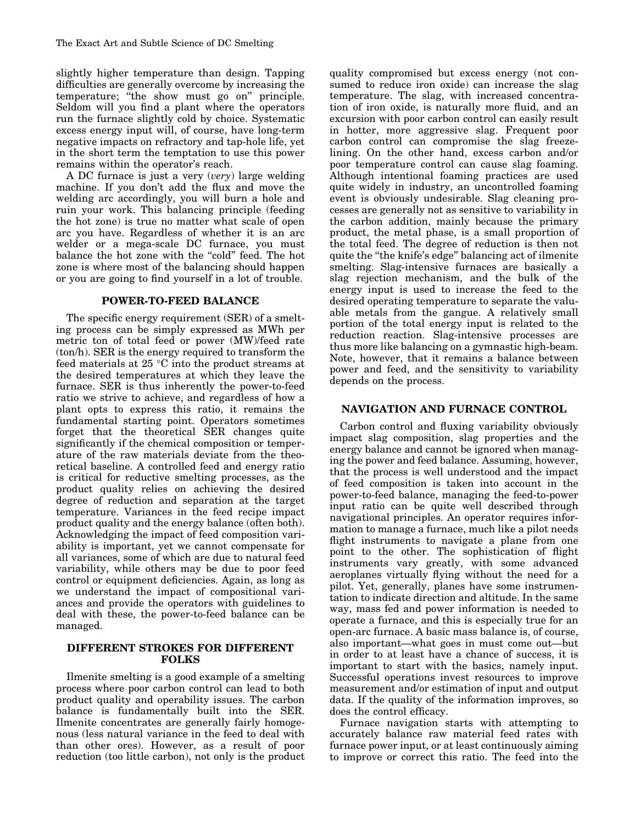slightly higher temperature than design. Tapping difficulties are generally overcome by increasing the temperature; ''the show must go on'' principle. Seldom will you find a plant where the operators run the furnace slightly cold by choice. Systematic excess energy input will, of course, have long-term negative impacts on refractory and tap-hole life, yet in the short term the temptation to use this power remains within the operator's reach.

A DC furnace is just a very (very) large welding machine. If you don't add the flux and move the welding arc accordingly, you will burn a hole and ruin your work. This balancing principle (feeding the hot zone) is true no matter what scale of open arc you have. Regardless of whether it is an arc welder or a mega-scale DC furnace, you must balance the hot zone with the "cold" feed. The hot zone is where most of the balancing should happen or you are going to find yourself in a lot of trouble.

## POWER-TO-FEED BALANCE

The specific energy requirement (SER) of a smelting process can be simply expressed as MWh per metric ton of total feed or power (MW)/feed rate (ton/h). SER is the energy required to transform the feed materials at  $25 \text{ °C}$  into the product streams at the desired temperatures at which they leave the furnace. SER is thus inherently the power-to-feed ratio we strive to achieve, and regardless of how a plant opts to express this ratio, it remains the fundamental starting point. Operators sometimes forget that the theoretical SER changes quite significantly if the chemical composition or temperature of the raw materials deviate from the theoretical baseline. A controlled feed and energy ratio is critical for reductive smelting processes, as the product quality relies on achieving the desired degree of reduction and separation at the target temperature. Variances in the feed recipe impact product quality and the energy balance (often both). Acknowledging the impact of feed composition variability is important, yet we cannot compensate for all variances, some of which are due to natural feed variability, while others may be due to poor feed control or equipment deficiencies. Again, as long as we understand the impact of compositional variances and provide the operators with guidelines to deal with these, the power-to-feed balance can be managed.

### DIFFERENT STROKES FOR DIFFERENT FOLKS

Ilmenite smelting is a good example of a smelting process where poor carbon control can lead to both product quality and operability issues. The carbon balance is fundamentally built into the SER. Ilmenite concentrates are generally fairly homogenous (less natural variance in the feed to deal with than other ores). However, as a result of poor reduction (too little carbon), not only is the product quality compromised but excess energy (not consumed to reduce iron oxide) can increase the slag temperature. The slag, with increased concentration of iron oxide, is naturally more fluid, and an excursion with poor carbon control can easily result in hotter, more aggressive slag. Frequent poor carbon control can compromise the slag freezelining. On the other hand, excess carbon and/or poor temperature control can cause slag foaming. Although intentional foaming practices are used quite widely in industry, an uncontrolled foaming event is obviously undesirable. Slag cleaning processes are generally not as sensitive to variability in the carbon addition, mainly because the primary product, the metal phase, is a small proportion of the total feed. The degree of reduction is then not quite the "the knife's edge" balancing act of ilmenite smelting. Slag-intensive furnaces are basically a slag rejection mechanism, and the bulk of the energy input is used to increase the feed to the desired operating temperature to separate the valuable metals from the gangue. A relatively small portion of the total energy input is related to the reduction reaction. Slag-intensive processes are thus more like balancing on a gymnastic high-beam. Note, however, that it remains a balance between power and feed, and the sensitivity to variability depends on the process.

## NAVIGATION AND FURNACE CONTROL

Carbon control and fluxing variability obviously impact slag composition, slag properties and the energy balance and cannot be ignored when managing the power and feed balance. Assuming, however, that the process is well understood and the impact of feed composition is taken into account in the power-to-feed balance, managing the feed-to-power input ratio can be quite well described through navigational principles. An operator requires information to manage a furnace, much like a pilot needs flight instruments to navigate a plane from one point to the other. The sophistication of flight instruments vary greatly, with some advanced aeroplanes virtually flying without the need for a pilot. Yet, generally, planes have some instrumentation to indicate direction and altitude. In the same way, mass fed and power information is needed to operate a furnace, and this is especially true for an open-arc furnace. A basic mass balance is, of course, also important—what goes in must come out—but in order to at least have a chance of success, it is important to start with the basics, namely input. Successful operations invest resources to improve measurement and/or estimation of input and output data. If the quality of the information improves, so does the control efficacy.

Furnace navigation starts with attempting to accurately balance raw material feed rates with furnace power input, or at least continuously aiming to improve or correct this ratio. The feed into the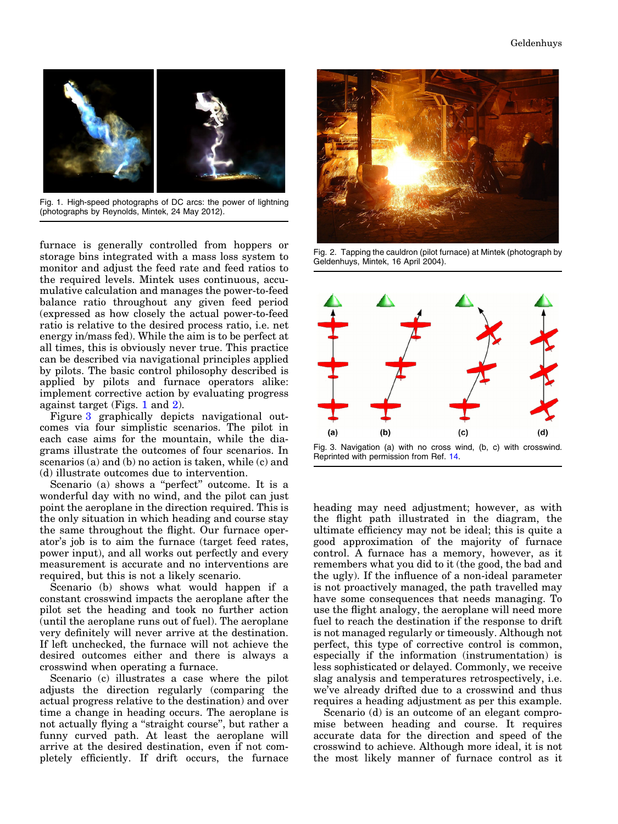

Fig. 1. High-speed photographs of DC arcs: the power of lightning (photographs by Reynolds, Mintek, 24 May 2012).

furnace is generally controlled from hoppers or storage bins integrated with a mass loss system to monitor and adjust the feed rate and feed ratios to the required levels. Mintek uses continuous, accumulative calculation and manages the power-to-feed balance ratio throughout any given feed period (expressed as how closely the actual power-to-feed ratio is relative to the desired process ratio, i.e. net energy in/mass fed). While the aim is to be perfect at all times, this is obviously never true. This practice can be described via navigational principles applied by pilots. The basic control philosophy described is applied by pilots and furnace operators alike: implement corrective action by evaluating progress against target (Figs. 1 and 2).

Figure 3 graphically depicts navigational outcomes via four simplistic scenarios. The pilot in each case aims for the mountain, while the diagrams illustrate the outcomes of four scenarios. In scenarios (a) and (b) no action is taken, while (c) and (d) illustrate outcomes due to intervention.

Scenario (a) shows a "perfect" outcome. It is a wonderful day with no wind, and the pilot can just point the aeroplane in the direction required. This is the only situation in which heading and course stay the same throughout the flight. Our furnace operator's job is to aim the furnace (target feed rates, power input), and all works out perfectly and every measurement is accurate and no interventions are required, but this is not a likely scenario.

Scenario (b) shows what would happen if a constant crosswind impacts the aeroplane after the pilot set the heading and took no further action (until the aeroplane runs out of fuel). The aeroplane very definitely will never arrive at the destination. If left unchecked, the furnace will not achieve the desired outcomes either and there is always a crosswind when operating a furnace.

Scenario (c) illustrates a case where the pilot adjusts the direction regularly (comparing the actual progress relative to the destination) and over time a change in heading occurs. The aeroplane is not actually flying a ''straight course'', but rather a funny curved path. At least the aeroplane will arrive at the desired destination, even if not completely efficiently. If drift occurs, the furnace



Fig. 2. Tapping the cauldron (pilot furnace) at Mintek (photograph by Geldenhuys, Mintek, 16 April 2004).



Fig. 3. Navigation (a) with no cross wind, (b, c) with crosswind. Reprinted with permission from Ref. [14](#page-7-0).

heading may need adjustment; however, as with the flight path illustrated in the diagram, the ultimate efficiency may not be ideal; this is quite a good approximation of the majority of furnace control. A furnace has a memory, however, as it remembers what you did to it (the good, the bad and the ugly). If the influence of a non-ideal parameter is not proactively managed, the path travelled may have some consequences that needs managing. To use the flight analogy, the aeroplane will need more fuel to reach the destination if the response to drift is not managed regularly or timeously. Although not perfect, this type of corrective control is common, especially if the information (instrumentation) is less sophisticated or delayed. Commonly, we receive slag analysis and temperatures retrospectively, i.e. we've already drifted due to a crosswind and thus requires a heading adjustment as per this example.

Scenario (d) is an outcome of an elegant compromise between heading and course. It requires accurate data for the direction and speed of the crosswind to achieve. Although more ideal, it is not the most likely manner of furnace control as it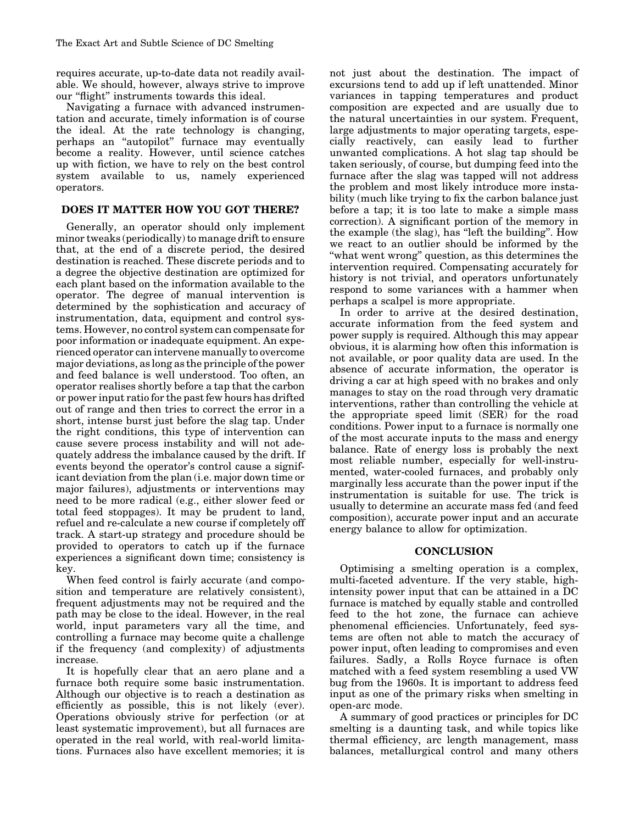requires accurate, up-to-date data not readily available. We should, however, always strive to improve our ''flight'' instruments towards this ideal.

Navigating a furnace with advanced instrumentation and accurate, timely information is of course the ideal. At the rate technology is changing, perhaps an ''autopilot'' furnace may eventually become a reality. However, until science catches up with fiction, we have to rely on the best control system available to us, namely experienced operators.

## DOES IT MATTER HOW YOU GOT THERE?

Generally, an operator should only implement minor tweaks (periodically) to manage drift to ensure that, at the end of a discrete period, the desired destination is reached. These discrete periods and to a degree the objective destination are optimized for each plant based on the information available to the operator. The degree of manual intervention is determined by the sophistication and accuracy of instrumentation, data, equipment and control systems. However, no control system can compensate for poor information or inadequate equipment. An experienced operator can intervene manually to overcome major deviations, as long as the principle of the power and feed balance is well understood. Too often, an operator realises shortly before a tap that the carbon or power input ratio for the past few hours has drifted out of range and then tries to correct the error in a short, intense burst just before the slag tap. Under the right conditions, this type of intervention can cause severe process instability and will not adequately address the imbalance caused by the drift. If events beyond the operator's control cause a significant deviation from the plan (i.e. major down time or major failures), adjustments or interventions may need to be more radical (e.g., either slower feed or total feed stoppages). It may be prudent to land, refuel and re-calculate a new course if completely off track. A start-up strategy and procedure should be provided to operators to catch up if the furnace experiences a significant down time; consistency is key.

When feed control is fairly accurate (and composition and temperature are relatively consistent), frequent adjustments may not be required and the path may be close to the ideal. However, in the real world, input parameters vary all the time, and controlling a furnace may become quite a challenge if the frequency (and complexity) of adjustments increase.

It is hopefully clear that an aero plane and a furnace both require some basic instrumentation. Although our objective is to reach a destination as efficiently as possible, this is not likely (ever). Operations obviously strive for perfection (or at least systematic improvement), but all furnaces are operated in the real world, with real-world limitations. Furnaces also have excellent memories; it is not just about the destination. The impact of excursions tend to add up if left unattended. Minor variances in tapping temperatures and product composition are expected and are usually due to the natural uncertainties in our system. Frequent, large adjustments to major operating targets, especially reactively, can easily lead to further unwanted complications. A hot slag tap should be taken seriously, of course, but dumping feed into the furnace after the slag was tapped will not address the problem and most likely introduce more instability (much like trying to fix the carbon balance just before a tap; it is too late to make a simple mass correction). A significant portion of the memory in the example (the slag), has ''left the building''. How we react to an outlier should be informed by the ''what went wrong'' question, as this determines the intervention required. Compensating accurately for history is not trivial, and operators unfortunately respond to some variances with a hammer when perhaps a scalpel is more appropriate.

In order to arrive at the desired destination, accurate information from the feed system and power supply is required. Although this may appear obvious, it is alarming how often this information is not available, or poor quality data are used. In the absence of accurate information, the operator is driving a car at high speed with no brakes and only manages to stay on the road through very dramatic interventions, rather than controlling the vehicle at the appropriate speed limit (SER) for the road conditions. Power input to a furnace is normally one of the most accurate inputs to the mass and energy balance. Rate of energy loss is probably the next most reliable number, especially for well-instrumented, water-cooled furnaces, and probably only marginally less accurate than the power input if the instrumentation is suitable for use. The trick is usually to determine an accurate mass fed (and feed composition), accurate power input and an accurate energy balance to allow for optimization.

#### **CONCLUSION**

Optimising a smelting operation is a complex, multi-faceted adventure. If the very stable, highintensity power input that can be attained in a DC furnace is matched by equally stable and controlled feed to the hot zone, the furnace can achieve phenomenal efficiencies. Unfortunately, feed systems are often not able to match the accuracy of power input, often leading to compromises and even failures. Sadly, a Rolls Royce furnace is often matched with a feed system resembling a used VW bug from the 1960s. It is important to address feed input as one of the primary risks when smelting in open-arc mode.

A summary of good practices or principles for DC smelting is a daunting task, and while topics like thermal efficiency, arc length management, mass balances, metallurgical control and many others